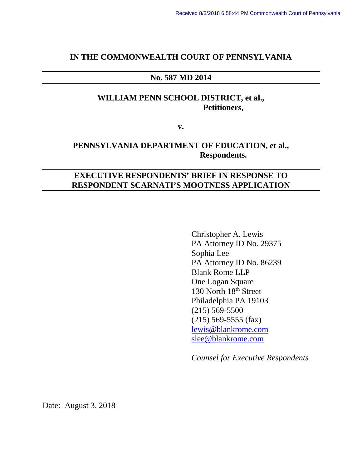### **IN THE COMMONWEALTH COURT OF PENNSYLVANIA**

### **No. 587 MD 2014**

## **WILLIAM PENN SCHOOL DISTRICT, et al., Petitioners,**

**v.**

## **PENNSYLVANIA DEPARTMENT OF EDUCATION, et al., Respondents.**

## **EXECUTIVE RESPONDENTS' BRIEF IN RESPONSE TO RESPONDENT SCARNATI'S MOOTNESS APPLICATION**

Christopher A. Lewis PA Attorney ID No. 29375 Sophia Lee PA Attorney ID No. 86239 Blank Rome LLP One Logan Square 130 North 18<sup>th</sup> Street Philadelphia PA 19103 (215) 569-5500 (215) 569-5555 (fax) [lewis@blankrome.com](mailto:lewis@blankrome.com) [slee@blankrome.com](mailto:slee@blankrome.com)

*Counsel for Executive Respondents*

Date: August 3, 2018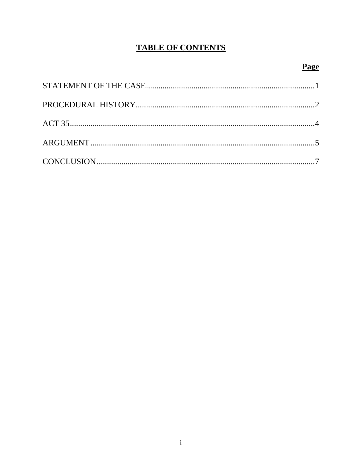# **TABLE OF CONTENTS**

# **Page**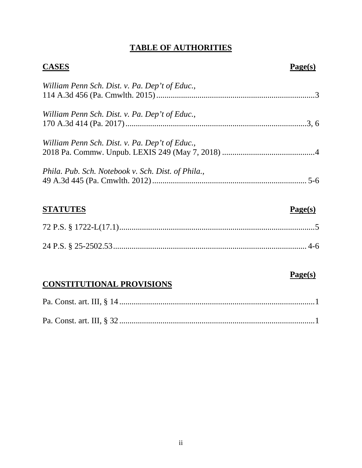## **TABLE OF AUTHORITIES**

| <b>CASES</b>                                       | Page(s) |
|----------------------------------------------------|---------|
| William Penn Sch. Dist. v. Pa. Dep't of Educ.,     |         |
| William Penn Sch. Dist. v. Pa. Dep't of Educ.,     |         |
| William Penn Sch. Dist. v. Pa. Dep't of Educ.,     |         |
| Phila. Pub. Sch. Notebook v. Sch. Dist. of Phila., |         |
| <b>STATUTES</b>                                    | Page(s) |
|                                                    |         |
|                                                    |         |

## **CONSTITUTIONAL PROVISIONS**

**Page(s)**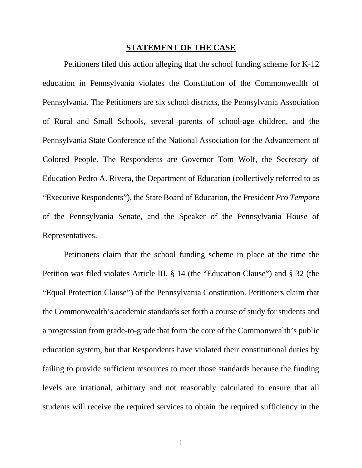### **STATEMENT OF THE CASE**

Petitioners filed this action alleging that the school funding scheme for K-12 education in Pennsylvania violates the Constitution of the Commonwealth of Pennsylvania. The Petitioners are six school districts, the Pennsylvania Association of Rural and Small Schools, several parents of school-age children, and the Pennsylvania State Conference of the National Association for the Advancement of Colored People. The Respondents are Governor Tom Wolf, the Secretary of Education Pedro A. Rivera, the Department of Education (collectively referred to as "Executive Respondents"), the State Board of Education, the President *Pro Tempore* of the Pennsylvania Senate, and the Speaker of the Pennsylvania House of Representatives.

Petitioners claim that the school funding scheme in place at the time the Petition was filed violates Article III, § 14 (the "Education Clause") and § 32 (the "Equal Protection Clause") of the Pennsylvania Constitution. Petitioners claim that the Commonwealth's academic standards set forth a course of study for students and a progression from grade-to-grade that form the core of the Commonwealth's public education system, but that Respondents have violated their constitutional duties by failing to provide sufficient resources to meet those standards because the funding levels are irrational, arbitrary and not reasonably calculated to ensure that all students will receive the required services to obtain the required sufficiency in the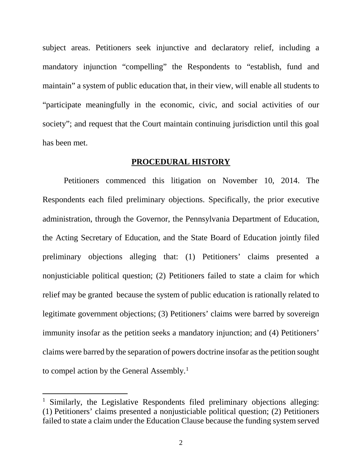subject areas. Petitioners seek injunctive and declaratory relief, including a mandatory injunction "compelling" the Respondents to "establish, fund and maintain" a system of public education that, in their view, will enable all students to "participate meaningfully in the economic, civic, and social activities of our society"; and request that the Court maintain continuing jurisdiction until this goal has been met.

### **PROCEDURAL HISTORY**

Petitioners commenced this litigation on November 10, 2014. The Respondents each filed preliminary objections. Specifically, the prior executive administration, through the Governor, the Pennsylvania Department of Education, the Acting Secretary of Education, and the State Board of Education jointly filed preliminary objections alleging that: (1) Petitioners' claims presented a nonjusticiable political question; (2) Petitioners failed to state a claim for which relief may be granted because the system of public education is rationally related to legitimate government objections; (3) Petitioners' claims were barred by sovereign immunity insofar as the petition seeks a mandatory injunction; and (4) Petitioners' claims were barred by the separation of powers doctrine insofar as the petition sought to compel action by the General Assembly.<sup>[1](#page-4-0)</sup>

<span id="page-4-0"></span><sup>&</sup>lt;sup>1</sup> Similarly, the Legislative Respondents filed preliminary objections alleging: (1) Petitioners' claims presented a nonjusticiable political question; (2) Petitioners failed to state a claim under the Education Clause because the funding system served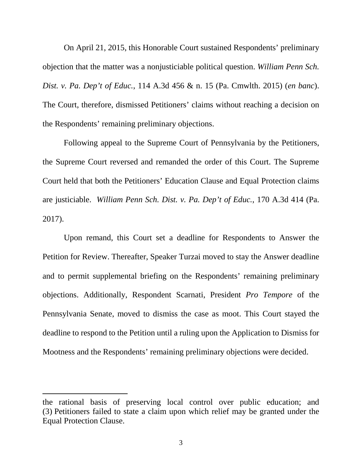On April 21, 2015, this Honorable Court sustained Respondents' preliminary objection that the matter was a nonjusticiable political question. *William Penn Sch. Dist. v. Pa. Dep't of Educ.*, 114 A.3d 456 & n. 15 (Pa. Cmwlth. 2015) (*en banc*). The Court, therefore, dismissed Petitioners' claims without reaching a decision on the Respondents' remaining preliminary objections.

Following appeal to the Supreme Court of Pennsylvania by the Petitioners, the Supreme Court reversed and remanded the order of this Court. The Supreme Court held that both the Petitioners' Education Clause and Equal Protection claims are justiciable. *William Penn Sch. Dist. v. Pa. Dep't of Educ.*, 170 A.3d 414 (Pa. 2017).

Upon remand, this Court set a deadline for Respondents to Answer the Petition for Review. Thereafter, Speaker Turzai moved to stay the Answer deadline and to permit supplemental briefing on the Respondents' remaining preliminary objections. Additionally, Respondent Scarnati, President *Pro Tempore* of the Pennsylvania Senate, moved to dismiss the case as moot. This Court stayed the deadline to respond to the Petition until a ruling upon the Application to Dismiss for Mootness and the Respondents' remaining preliminary objections were decided.

 $\overline{a}$ 

the rational basis of preserving local control over public education; and (3) Petitioners failed to state a claim upon which relief may be granted under the Equal Protection Clause.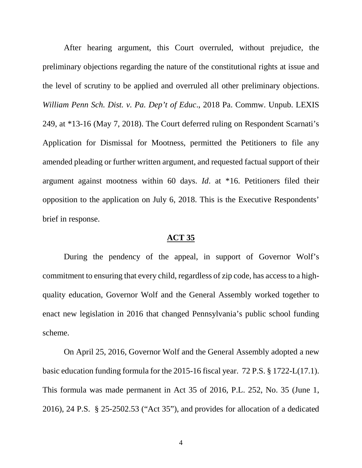After hearing argument, this Court overruled, without prejudice, the preliminary objections regarding the nature of the constitutional rights at issue and the level of scrutiny to be applied and overruled all other preliminary objections. *William Penn Sch. Dist. v. Pa. Dep't of Educ*., 2018 Pa. Commw. Unpub. LEXIS 249, at \*13-16 (May 7, 2018). The Court deferred ruling on Respondent Scarnati's Application for Dismissal for Mootness, permitted the Petitioners to file any amended pleading or further written argument, and requested factual support of their argument against mootness within 60 days. *Id*. at \*16. Petitioners filed their opposition to the application on July 6, 2018. This is the Executive Respondents' brief in response.

## **ACT 35**

During the pendency of the appeal, in support of Governor Wolf's commitment to ensuring that every child, regardless of zip code, has access to a highquality education, Governor Wolf and the General Assembly worked together to enact new legislation in 2016 that changed Pennsylvania's public school funding scheme.

On April 25, 2016, Governor Wolf and the General Assembly adopted a new basic education funding formula for the 2015-16 fiscal year. 72 P.S. § 1722-L(17.1). This formula was made permanent in Act 35 of 2016, P.L. 252, No. 35 (June 1, 2016), 24 P.S. § 25-2502.53 ("Act 35"), and provides for allocation of a dedicated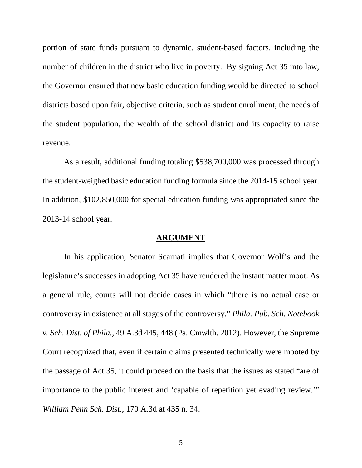portion of state funds pursuant to dynamic, student-based factors, including the number of children in the district who live in poverty. By signing Act 35 into law, the Governor ensured that new basic education funding would be directed to school districts based upon fair, objective criteria, such as student enrollment, the needs of the student population, the wealth of the school district and its capacity to raise revenue.

As a result, additional funding totaling \$538,700,000 was processed through the student-weighed basic education funding formula since the 2014-15 school year. In addition, \$102,850,000 for special education funding was appropriated since the 2013-14 school year.

### **ARGUMENT**

In his application, Senator Scarnati implies that Governor Wolf's and the legislature's successes in adopting Act 35 have rendered the instant matter moot. As a general rule, courts will not decide cases in which "there is no actual case or controversy in existence at all stages of the controversy." *Phila. Pub. Sch. Notebook v. Sch. Dist. of Phila.*, 49 A.3d 445, 448 (Pa. Cmwlth. 2012). However, the Supreme Court recognized that, even if certain claims presented technically were mooted by the passage of Act 35, it could proceed on the basis that the issues as stated "are of importance to the public interest and 'capable of repetition yet evading review.'" *William Penn Sch. Dist.*, 170 A.3d at 435 n. 34.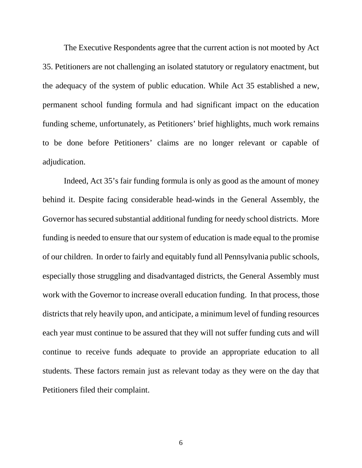The Executive Respondents agree that the current action is not mooted by Act 35. Petitioners are not challenging an isolated statutory or regulatory enactment, but the adequacy of the system of public education. While Act 35 established a new, permanent school funding formula and had significant impact on the education funding scheme, unfortunately, as Petitioners' brief highlights, much work remains to be done before Petitioners' claims are no longer relevant or capable of adjudication.

Indeed, Act 35's fair funding formula is only as good as the amount of money behind it. Despite facing considerable head-winds in the General Assembly, the Governor has secured substantial additional funding for needy school districts. More funding is needed to ensure that our system of education is made equal to the promise of our children. In order to fairly and equitably fund all Pennsylvania public schools, especially those struggling and disadvantaged districts, the General Assembly must work with the Governor to increase overall education funding. In that process, those districts that rely heavily upon, and anticipate, a minimum level of funding resources each year must continue to be assured that they will not suffer funding cuts and will continue to receive funds adequate to provide an appropriate education to all students. These factors remain just as relevant today as they were on the day that Petitioners filed their complaint.